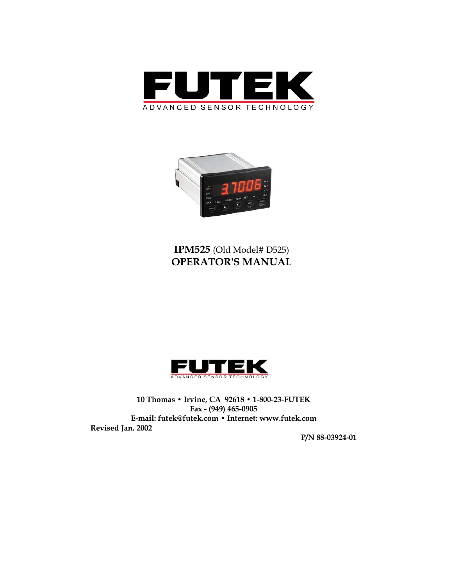



# **IPM525** (Old Model# D525) **OPERATOR'S MANUAL**



**10 Thomas • Irvine, CA 92618 • 1-800-23-FUTEK Fax - (949) 465-0905 E-mail: futek@futek.com • Internet: www.futek.com Revised Jan. 2002** 

**P/N 88-03924-01**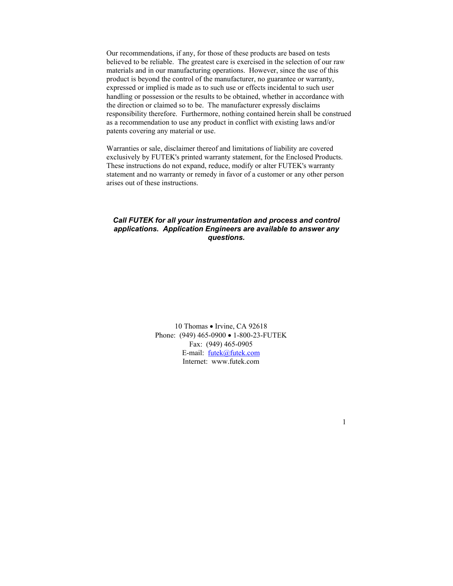Our recommendations, if any, for those of these products are based on tests believed to be reliable. The greatest care is exercised in the selection of our raw materials and in our manufacturing operations. However, since the use of this product is beyond the control of the manufacturer, no guarantee or warranty, expressed or implied is made as to such use or effects incidental to such user handling or possession or the results to be obtained, whether in accordance with the direction or claimed so to be. The manufacturer expressly disclaims responsibility therefore. Furthermore, nothing contained herein shall be construed as a recommendation to use any product in conflict with existing laws and/or patents covering any material or use.

Warranties or sale, disclaimer thereof and limitations of liability are covered exclusively by FUTEK's printed warranty statement, for the Enclosed Products. These instructions do not expand, reduce, modify or alter FUTEK's warranty statement and no warranty or remedy in favor of a customer or any other person arises out of these instructions.

#### *Call FUTEK for all your instrumentation and process and control applications. Application Engineers are available to answer any questions.*

10 Thomas • Irvine, CA 92618 Phone: (949) 465-0900 • 1-800-23-FUTEK Fax: (949) 465-0905 E-mail: [futek@futek.com](mailto:info@ATCDigitec.com) Internet: www.futek.com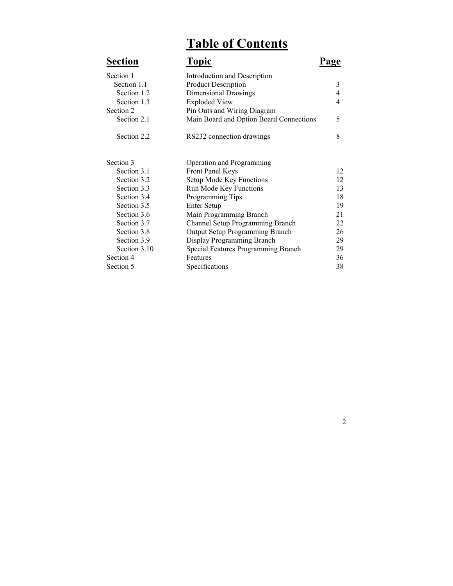# **Table of Contents**

| <b>Section</b> | <b>Topic</b>                            | Page |
|----------------|-----------------------------------------|------|
| Section 1      | Introduction and Description            |      |
| Section 1.1    | <b>Product Description</b>              | 3    |
| Section 1.2    | Dimensional Drawings                    | 4    |
| Section 1.3    | <b>Exploded View</b>                    | 4    |
| Section 2      | Pin Outs and Wiring Diagram             |      |
| Section 2.1    | Main Board and Option Board Connections | 5    |
| Section 2.2    | RS232 connection drawings               | 8    |
| Section 3      | Operation and Programming               |      |
| Section 3.1    | Front Panel Keys                        | 12   |
| Section 3.2    | Setup Mode Key Functions                | 12   |
| Section 3.3    | Run Mode Key Functions                  | 13   |
| Section 3.4    | Programming Tips                        | 18   |
| Section 3.5    | <b>Enter Setup</b>                      | 19   |
| Section 3.6    | Main Programming Branch                 | 21   |
| Section 3.7    | Channel Setup Programming Branch        | 22   |
| Section 3.8    | <b>Output Setup Programming Branch</b>  | 26   |
| Section 3.9    | Display Programming Branch              | 29   |
| Section 3.10   | Special Features Programming Branch     | 29   |
| Section 4      | Features                                | 36   |
| Section 5      | Specifications                          | 38   |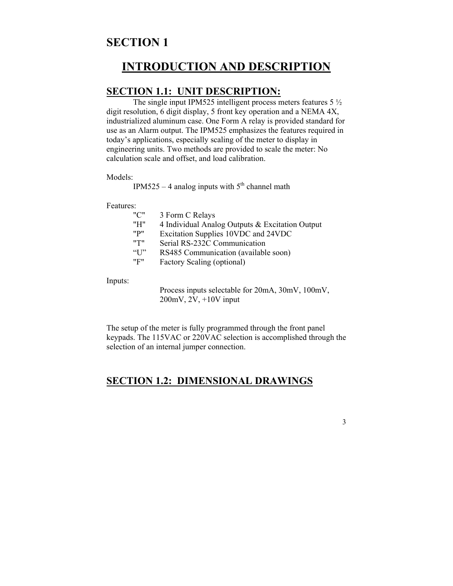# **SECTION 1**

# **INTRODUCTION AND DESCRIPTION**

### **SECTION 1.1: UNIT DESCRIPTION:**

The single input IPM525 intelligent process meters features 5  $\frac{1}{2}$ digit resolution, 6 digit display, 5 front key operation and a NEMA 4X, industrialized aluminum case. One Form A relay is provided standard for use as an Alarm output. The IPM525 emphasizes the features required in today's applications, especially scaling of the meter to display in engineering units. Two methods are provided to scale the meter: No calculation scale and offset, and load calibration.

Models:

IPM525 – 4 analog inputs with  $5<sup>th</sup>$  channel math

#### Features:

| "C" | 3 Form C Relays                                 |
|-----|-------------------------------------------------|
| "H" | 4 Individual Analog Outputs & Excitation Output |
| "P" | Excitation Supplies 10VDC and 24VDC             |
| "ד" | Serial RS-232C Communication                    |
|     | RS485 Communication (available soon)            |
| "F" | Factory Scaling (optional)                      |
|     |                                                 |

Inputs:

 Process inputs selectable for 20mA, 30mV, 100mV, 200mV, 2V, +10V input

The setup of the meter is fully programmed through the front panel keypads. The 115VAC or 220VAC selection is accomplished through the selection of an internal jumper connection.

### **SECTION 1.2: DIMENSIONAL DRAWINGS**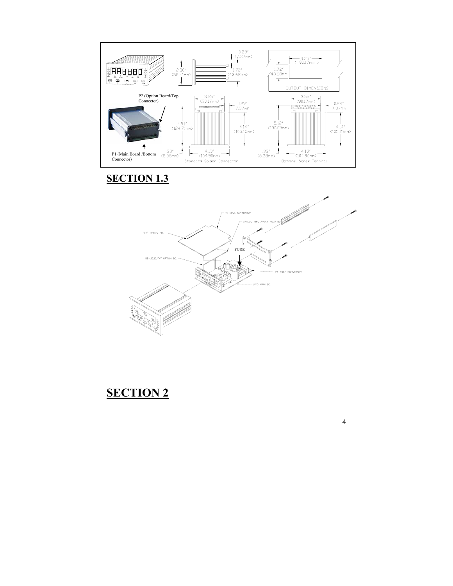

**SECTION 1.3**



# **SECTION 2**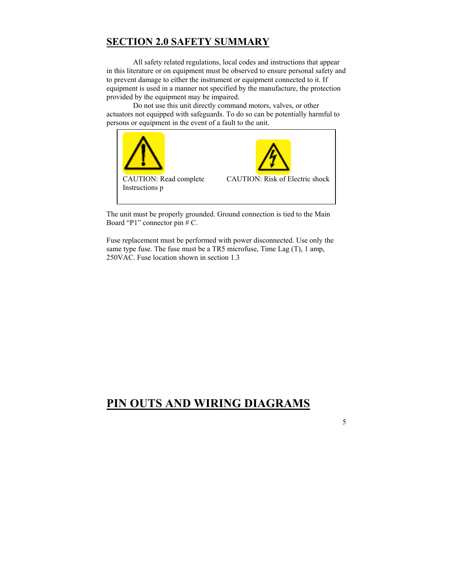### **SECTION 2.0 SAFETY SUMMARY**

All safety related regulations, local codes and instructions that appear in this literature or on equipment must be observed to ensure personal safety and to prevent damage to either the instrument or equipment connected to it. If equipment is used in a manner not specified by the manufacture, the protection provided by the equipment may be impaired.

actuators not equipped with safeguards. To do so can be potentially harmful to persons or equipment in the event of a fault to the unit. Do not use this unit directly command motors, valves, or other



The unit must be properly grounded. Ground connection is tied to the Main Board "P1" connector pin  $#C$ .

Fuse replacement must be performed with power disconnected. Use only the same type fuse. The fuse must be a TR5 microfuse, Time Lag  $(T)$ , 1 amp, 250VAC. Fuse location shown in section 1.3

# **IN OUTS AND WIRING DIAGRAMS P**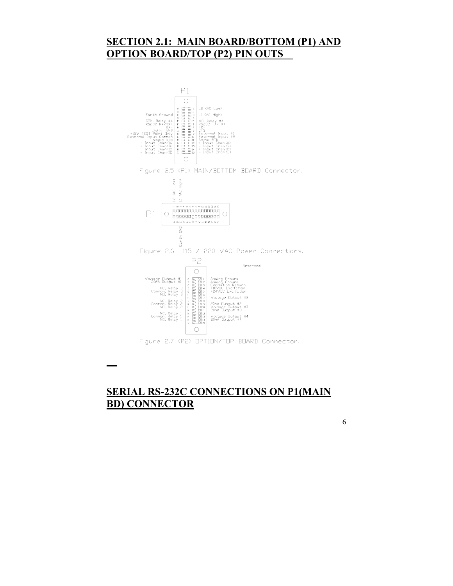## **SECTION 2.1: MAIN BOARD/BOTTOM (P1) AND OPTION BOARD/TOP (P2) PIN OUTS**



Figure 2.7 (P2) OPTION/TOP BOARD Connector.

## **SERIAL RS-232C CONNECTIONS ON P1(MAIN BD) CONNECTOR**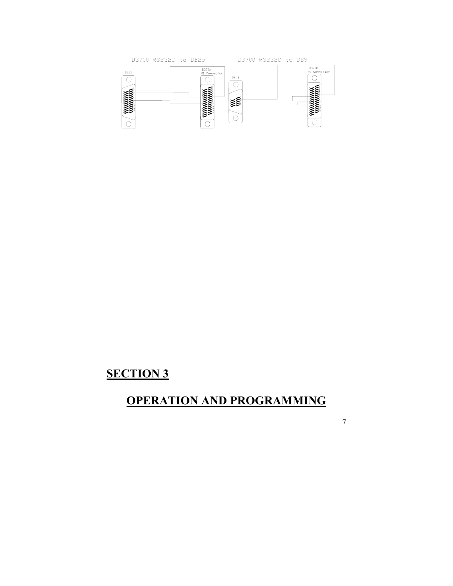

# **SECTION 3**

# **OPERATION AND PROGRAMMING**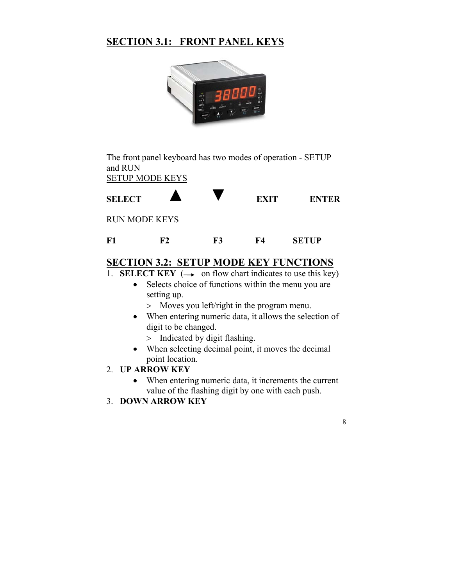# **SECTION 3.1: FRONT PANEL KEYS**



The front panel keyboard has two modes of operation - SETUP and RUN

**SETUP MODE KEYS** 



## **SECTION 3.2: SETUP MODE KEY FUNCTIONS**

- 1. **SELECT KEY**  $(\rightarrow \text{ on flow chart indicates to use this key})$ 
	- Selects choice of functions within the menu you are setting up.
		- > Moves you left/right in the program menu.
	- When entering numeric data, it allows the selection of digit to be changed.
		- > Indicated by digit flashing.
	- When selecting decimal point, it moves the decimal point location.
- 2. **UP AR ROW KEY**
	- When entering numeric data, it increments the current value of the flashing digit by one with each push.
- **EY** 3. **DOWN ARROW K**

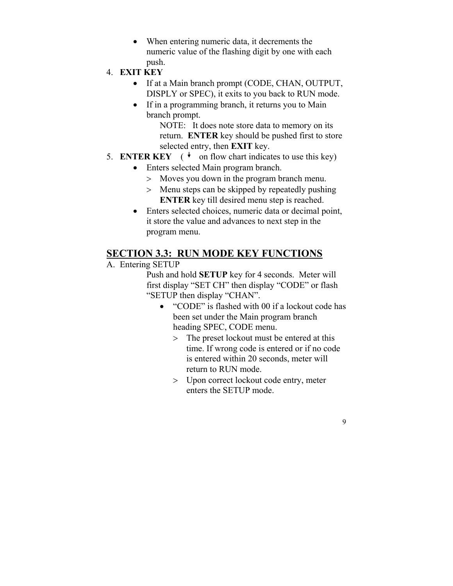- h numeric value of the flashing digit by one with eac • When entering numeric data, it decrements the push.
- 4. **EX K IT EY**
	- If at a Main branch prompt (CODE, CHAN, OUTPUT, DISPLY or SPEC), it exits to you back to RUN mode.
	- If in a programming branch, it returns you to Main branch prompt.

return. **ENTER** key should be pushed first to store NOTE: It does note store data to memory on its selected entry, then **EXIT** key.

- **ENTER KEY**  $($   $\star$  on flow chart indicates to use this key)
	- Enters selected Main program branch.
		- > Moves you down in the program branch menu.
		- > Menu steps can be skipped by repeatedly pushing **ENTER** key till desired menu step is reached.
	- Enters selected choices, numeric data or decimal point, it st ore the value and advances to next step in the program menu.

## **SECTION 3.3: RUN MODE KEY FUNCTIONS**

A. Entering SETUP

Push and hold **SETUP** key for 4 seconds. Meter will first display "SET CH" then display "CODE" or flash "SETUP then display "CHAN".

- "CODE" is flashed with 00 if a lockout code has been set under the Main program branch heading SPEC, CODE menu.
	- > The preset lockout must be entered at this time. If wrong code is entered or if no code is entered within 20 seconds, meter will return to RUN mode.
	- > Upon correct lockout code entry, meter enters the SETUP mode.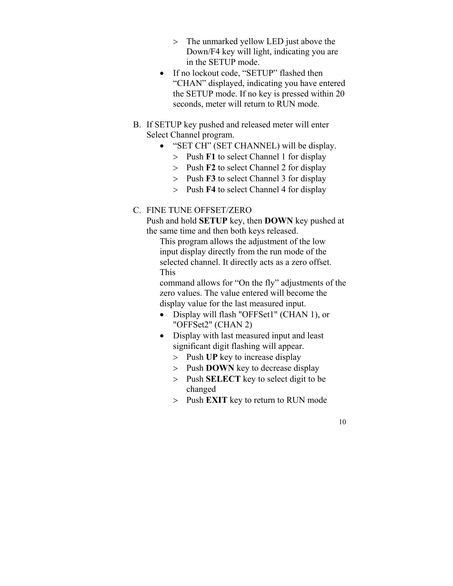- > The unmarked yellow LED just above the Down/F4 key will light, indicating you are in the SETUP mode.
- If no lockout code, "SETUP" flashed then "CHAN" displayed, indicating you have entered the SETUP mode. If no key is pressed within 20 seconds, meter will return to RUN mode.
- B. If SETUP key pushed and released meter will enter Select Channel program.
	- "SET CH" (SET CHANNEL) will be display.
		- > Push **F1** to select Channel 1 for display
		- > Push **F2** to select Channel 2 for display
		- > Push **F3** to select Channel 3 for display
		- > Push **F4** to select Channel 4 for display

#### C. FINE TUNE OFFSET/ZERO

Push and hold **SETUP** key, then **DOWN** key pushed at the same time and then both keys released.

This program allows the adjustment of the low input display directly from the run mode of the selected channel. It directly acts as a zero offset. This

command allows for "On the fly" adjustments of the zero values. The value entered will become the display value for the last measured input.

- Display will flash "OFFSet1" (CHAN 1), or "OFFSet2" (CHAN 2)
- Display with last measured input and least significant digit flashing will appear.
	- > Push **UP** key to increase display
	- > Push **DOWN** key to decrease display
	- > Push **SELECT** key to select digit to be changed
	- > Push **EXIT** key to return to RUN mode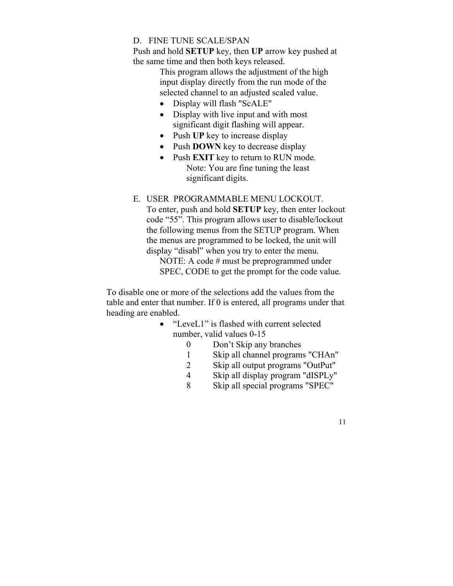#### D. FINE TUNE SCALE/SPAN

Push and hold **SETUP** key, then **UP** arrow key pushed at the same time and then both keys released.

> This program allows the adjustment of the high input display directly from the run mode of the selected channel to an adjusted scaled value.

- Display will flash "ScALE"
- Display with live input and with most significant digit flashing will appear.
- Push **UP** key to increase display
- Push **DOWN** key to decrease display
- Push **EXIT** key to return to RUN mode. Note: You are fine tuning the least significant digits.
- E. USER PROGRAMMABLE MENU LOCKOUT. To enter, push and hold **SETUP** key, then enter lockout code "55". This program allows user to disable/lockout the following menus from the SETUP program. When the menus are programmed to be locked, the unit will display "disabl" when you try to enter the menu.

NOTE: A code # must be preprogrammed under SPEC, CODE to get the prompt for the code value.

To disable one or more of the selections add the values from the table and enter that number. If 0 is entered, all programs under that heading are enabled.

- "LeveL1" is flashed with current selected number, valid values 0-15
	- 0 Don't Skip any branches
	- 1 Skip all channel programs "CHAn"
	- 2 Skip all output programs "OutPut"
	- 4 Skip all display program "dISPLy"
	- 8 Skip all special programs "SPEC"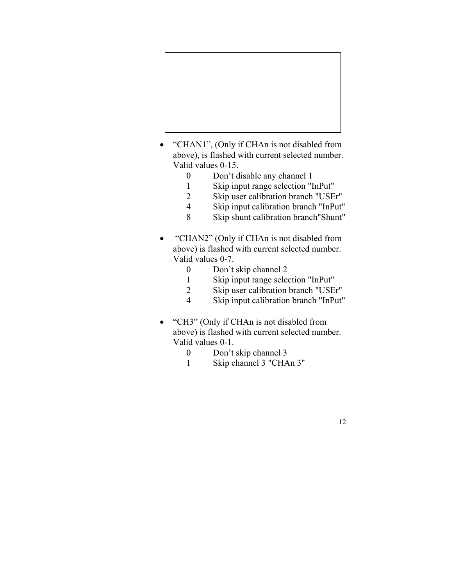

- "CHAN1", (Only if CHAn is not disabled from above), is flashed with current selected number. Valid values 0-15.
	- 0 Don't disable any channel 1
	- 1 Skip input range selection "InPut"
	- 2 Skip user calibration branch "USEr"
	- 4 Skip input calibration branch "InPut"
	- 8 Skip shunt calibration branch"Shunt"
- "CHAN2" (Only if CHAn is not disabled from above) is flashed with current selected number. Valid values 0-7.
	- 0 Don't skip channel 2
	- 1 Skip input range selection "InPut"
	- 2 Skip user calibration branch "USEr"
	- 4 Skip input calibration branch "InPut"
- "CH3" (Only if CHAn is not disabled from above) is flashed with current selected number. Valid values 0-1.
	- 0 Don't skip channel 3
	- 1 Skip channel 3 "CHAn 3"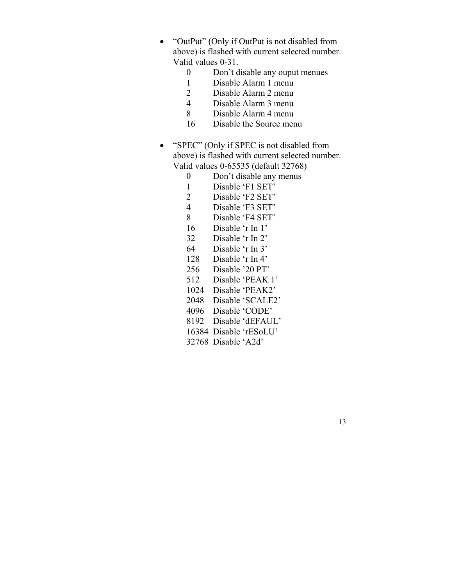- "OutPut" (Only if OutPut is not disabled from above) is flashed with current selected number. Valid values 0-31.
	- 0 Don't disable any ouput menues
	- 1 Disable Alarm 1 menu
	- 2 Disable Alarm 2 menu
	- 4 Disable Alarm 3 menu
	- 8 Disable Alarm 4 menu
	- 16 Disable the Source menu
- "SPEC" (Only if SPEC is not disabled from above) is flashed with current selected number. Valid values 0-65535 (default 32768)
	- 0 Don't disable any menus
	- 1 Disable 'F1 SET'
	- 2 Disable 'F2 SET'
	- 4 Disable 'F3 SET'
	- 8 Disable 'F4 SET'
	- 16 Disable 'r In 1'
	- 32 Disable 'r In 2'
	- 64 Disable 'r In 3'
	- 128 Disable 'r In 4'
	- 256 Disable '20 PT'
	- 512 Disable 'PEAK 1'
	- 1024 Disable 'PEAK2'
	- 2048 Disable 'SCALE2'
	- 4096 Disable 'CODE'
	- 8192 Disable 'dEFAUL'
	- 16384 Disable 'rESoLU'
	- 32768 Disable 'A2d'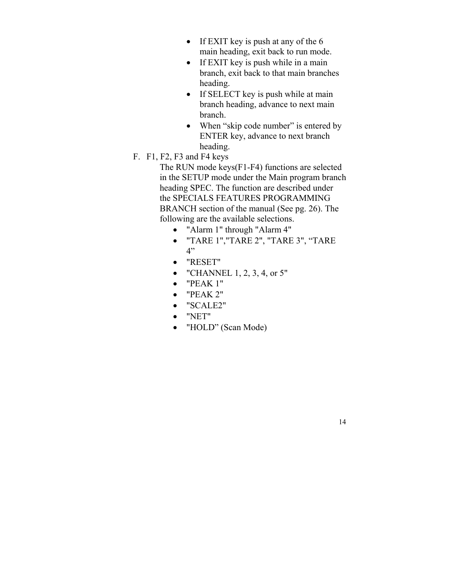- If EXIT key is push at any of the 6 main heading, exit back to run mode.
- If EXIT key is push while in a main branch, exit back to that main branches heading.
- If SELECT key is push while at main branch heading, advance to next main branch.
- When "skip code number" is entered by ENTER key, advance to next branch heading.
- F. F1, F2, F3 and F4 keys

The RUN mode keys(F1-F4) functions are selected in the SETUP mode under the Main program branch heading SPEC. The function are described under the SPECIALS FEATURES PROGRAMMING BRANCH section of the manual (See pg. 26). The following are the available selections.

- "Alarm 1" through "Alarm 4"
- "TARE 1","TARE 2", "TARE 3", "TARE  $4"$
- "RESET"
- "CHANNEL 1, 2, 3, 4, or  $5"$
- "PEAK 1"
- "PEAK 2"
- "SCALE2"
- "NET"
- "HOLD" (Scan Mode)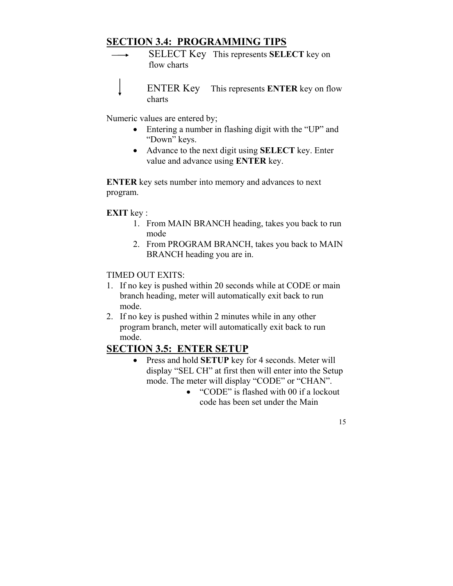# **SECTION 3.4: PROGRAMMING TIPS**

- SELECT Key This represents **SELECT** key on flow charts
- ENTER Key This represents **ENTER** key on flow charts

Numeric values are entered by;

- Entering a number in flashing digit with the "UP" and "Down" keys.
- Advance to the next digit using **SELECT** key. Enter value and advance using **ENTER** key.

**ENTER** key sets number into memory and advances to next program.

#### **EXIT** key :

- 1. From MAIN BRANCH heading, takes you back to run mode
- 2. From PROGRAM BRANCH, takes you back to MAIN BRANCH heading you are in.

#### TIMED OUT EXITS:

- 1. If no key is pushed within 20 seconds while at CODE or main branch heading, meter will automatically exit back to run mode.
- 2. If no key is pushed within 2 minutes while in any other program branch, meter will automatically exit back to run mode.

### **SECTION 3.5: ENTER SETUP**

- Press and hold **SETUP** key for 4 seconds. Meter will display "SEL CH" at first then will enter into the Setup mode. The meter will display "CODE" or "CHAN".
	- "CODE" is flashed with 00 if a lockout code has been set under the Main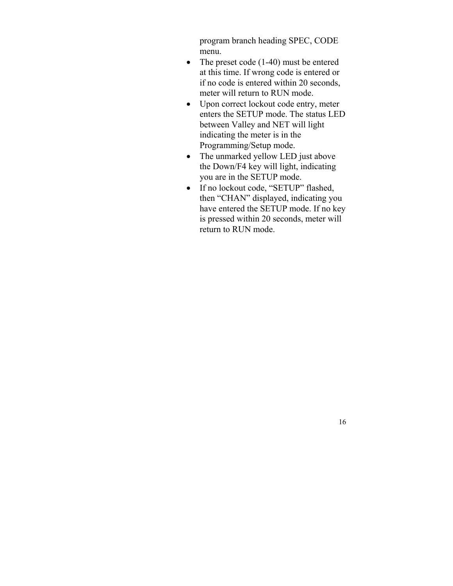program branch heading SPEC, CODE menu.

- The preset code (1-40) must be entered at this time. If wrong code is entered or if no code is entered within 20 seconds, meter will return to RUN mode.
- Upon correct lockout code entry, meter enters the SETUP mode. The status LED between Valley and NET will light indicating the meter is in the Programming/Setup mode.
- The unmarked yellow LED just above the Down/F4 key will light, indicating you are in the SETUP mode.
- If no lockout code, "SETUP" flashed, then "CHAN" displayed, indicating you have entered the SETUP mode. If no key is pressed within 20 seconds, meter will return to RUN mode.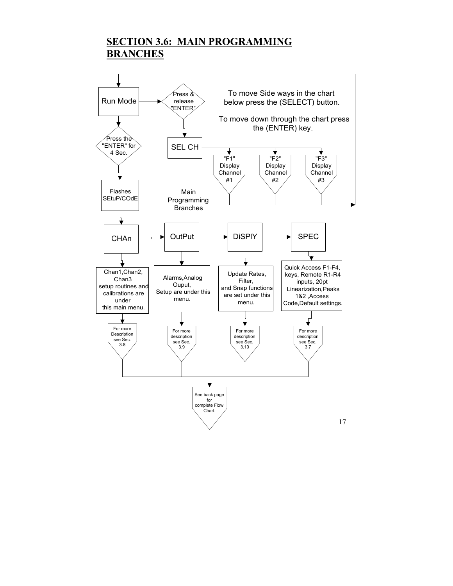### **SECTION 3.6: MAIN PROGRAMMING BRANCHES**

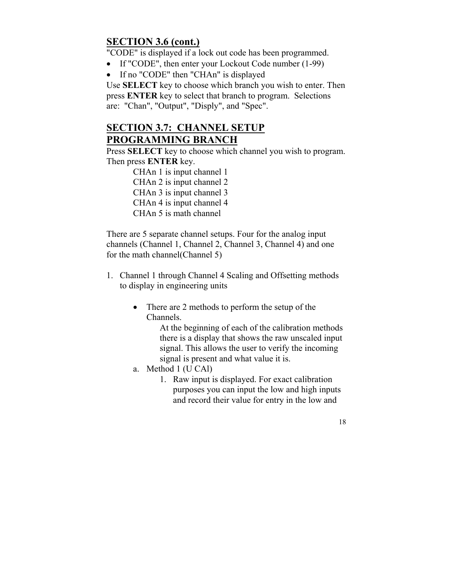# **SECTION 3.6 (cont.)**

"CODE" is displayed if a lock out code has been programmed.

- If "CODE", then enter your Lockout Code number (1-99)
- If no "CODE" then "CHAn" is displayed

Use **SELECT** key to choose which branch you wish to enter. Then press **ENTER** key to select that branch to program. Selections are: "Chan", "Output", "Disply", and "Spec".

# **SECTION 3.7: CHANNEL SETUP PROGRAMMING BRANCH**

Press **SELECT** key to choose which channel you wish to program. Then press **ENTER** key.

> CHAn 1 is input channel 1 CHAn 2 is input channel 2 CHAn 3 is input channel 3 CHAn 4 is input channel 4 CHAn 5 is math channel

There are 5 separate channel setups. Four for the analog input channels (Channel 1, Channel 2, Channel 3, Channel 4) and one for the math channel(Channel 5)

- 1. Channel 1 through Channel 4 Scaling and Offsetting methods to display in engineering units
	- There are 2 methods to perform the setup of the Channels.

At the beginning of each of the calibration methods there is a display that shows the raw unscaled input signal. This allows the user to verify the incoming signal is present and what value it is.

- a. Method 1 (U CAl)
	- 1. Raw input is displayed. For exact calibration purposes you can input the low and high inputs and record their value for entry in the low and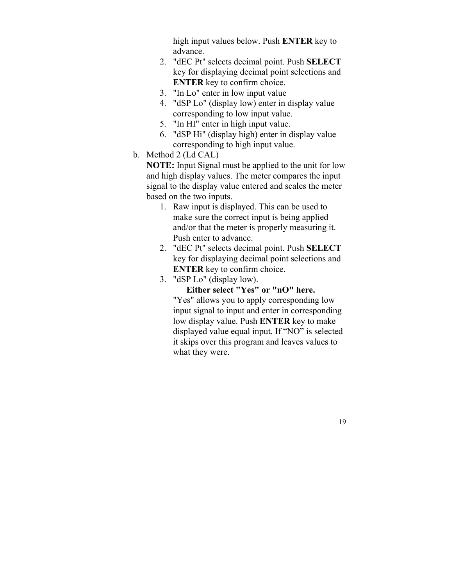high input values below. Push **ENTER** key to advance.

- 2. "dEC Pt" selects decimal point. Push **SELECT** key for displaying decimal point selections and **ENTER** key to confirm choice.
- 3. "In Lo" enter in low input value
- 4. "dSP Lo" (display low) enter in display value corresponding to low input value.
- 5. "In HI" enter in high input value.
- 6. "dSP Hi" (display high) enter in display value corresponding to high input value.
- b. Method 2 (Ld CAL)

**NOTE:** Input Signal must be applied to the unit for low and high display values. The meter compares the input signal to the display value entered and scales the meter based on the two inputs.

- 1. Raw input is displayed. This can be used to make sure the correct input is being applied and/or that the meter is properly measuring it. Push enter to advance.
- 2. "dEC Pt" selects decimal point. Push **SELECT** key for displaying decimal point selections and **ENTER** key to confirm choice.
- 3. "dSP Lo" (display low).

**Either select "Yes" or "nO" here.**  "Yes" allows you to apply corresponding low input signal to input and enter in corresponding low display value. Push **ENTER** key to make displayed value equal input. If "NO" is selected it skips over this program and leaves values to what they were.

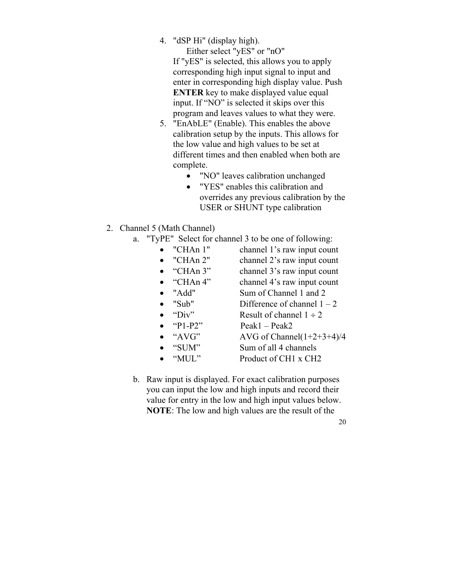4. "dSP Hi" (display high). Either select "yES" or "nO"

If "yES" is selected, this allows you to apply corresponding high input signal to input and enter in corresponding high display value. Push **ENTER** key to make displayed value equal input. If "NO" is selected it skips over this program and leaves values to what they were.

- 5. "EnAbLE" (Enable). This enables the above calibration setup by the inputs. This allows for the low value and high values to be set at different times and then enabled when both are complete.
	- "NO" leaves calibration unchanged
	- "YES" enables this calibration and overrides any previous calibration by the USER or SHUNT type calibration
- 2. Channel 5 (Math Channel)
	- a. "TyPE" Select for channel 3 to be one of following:

| "CHAn 1" | channel 1's raw input count                                                                                                                                             |
|----------|-------------------------------------------------------------------------------------------------------------------------------------------------------------------------|
| "CHAn 2" | channel 2's raw input count                                                                                                                                             |
| "CHAn 3" | channel 3's raw input count                                                                                                                                             |
| "CHAn 4" | channel 4's raw input count                                                                                                                                             |
| "Add"    | Sum of Channel 1 and 2                                                                                                                                                  |
| "Sub"    | Difference of channel $1 - 2$                                                                                                                                           |
| "Div"    | Result of channel $1 \div 2$                                                                                                                                            |
| $P1-P2"$ | $Peak1 - Peak2$                                                                                                                                                         |
| "AVG"    | AVG of Channel $(1+2+3+4)/4$                                                                                                                                            |
| "SUM"    | Sum of all 4 channels                                                                                                                                                   |
| "MUL"    | Product of CH1 x CH2                                                                                                                                                    |
|          |                                                                                                                                                                         |
|          | $\mathbf{r} = \mathbf{r}$ and $\mathbf{r} = \mathbf{r} = \mathbf{r}$ and $\mathbf{r} = \mathbf{r} = \mathbf{r}$ and $\mathbf{r} = \mathbf{r} = \mathbf{r} = \mathbf{r}$ |

b. Raw input is displayed. For exact calibration purposes you can input the low and high inputs and record their value for entry in the low and high input values below. **NOTE**: The low and high values are the result of the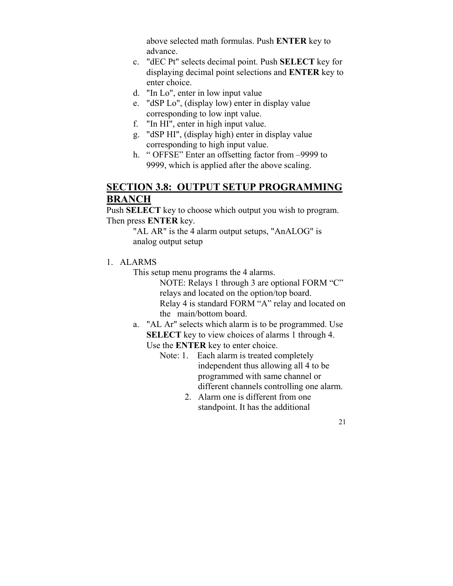above selected math formulas. Push **ENTER** key to advance.

- c. "dEC Pt" selects decimal point. Push **SELECT** key for displaying decimal point selections and **ENTER** key to enter choice.
- d. "In Lo", enter in low input value
- e. "dSP Lo", (display low) enter in display value corresponding to low inpt value.
- f. "In HI", enter in high input value.
- g. "dSP HI", (display high) enter in display value corresponding to high input value.
- h. " OFFSE" Enter an offsetting factor from –9999 to 9999, which is applied after the above scaling.

### **SECTION 3.8: OUTPUT SETUP PROGRAMMING BRANCH**

Push **SELECT** key to choose which output you wish to program. Then press **ENTER** key.

> "AL AR" is the 4 alarm output setups, "AnALOG" is analog output setup

1. ALARMS

This setup menu programs the 4 alarms.

NOTE: Relays 1 through 3 are optional FORM "C" relays and located on the option/top board. Relay 4 is standard FORM "A" relay and located on the main/bottom board.

- a. "AL Ar" selects which alarm is to be programmed. Use **SELECT** key to view choices of alarms 1 through 4. Use the **ENTER** key to enter choice.
	- Note: 1. Each alarm is treated completely independent thus allowing all 4 to be programmed with same channel or different channels controlling one alarm.
		- 2. Alarm one is different from one standpoint. It has the additional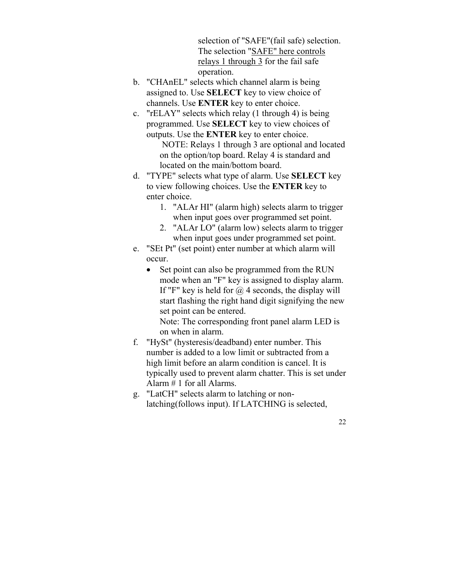selection of "SAFE"(fail safe) selection. The selection "SAFE" here controls relays 1 through 3 for the fail safe operation.

- b. "CHAnEL" selects which channel alarm is being assigned to. Use **SELECT** key to view choice of channels. Use **ENTER** key to enter choice.
- c. "rELAY" selects which relay (1 through 4) is being programmed. Use **SELECT** key to view choices of outputs. Use the **ENTER** key to enter choice.
	- NOTE: Relays 1 through 3 are optional and located on the option/top board. Relay 4 is standard and located on the main/bottom board.
- d. "TYPE" selects what type of alarm. Use **SELECT** key to view following choices. Use the **ENTER** key to enter choice.
	- 1. "ALAr HI" (alarm high) selects alarm to trigger when input goes over programmed set point.
	- 2. "ALAr LO" (alarm low) selects alarm to trigger when input goes under programmed set point.
- e. "SEt Pt" (set point) enter number at which alarm will occur.
	- Set point can also be programmed from the RUN mode when an "F" key is assigned to display alarm. If "F" key is held for  $\omega$  4 seconds, the display will start flashing the right hand digit signifying the new set point can be entered.

Note: The corresponding front panel alarm LED is on when in alarm.

- f. "HySt" (hysteresis/deadband) enter number. This number is added to a low limit or subtracted from a high limit before an alarm condition is cancel. It is typically used to prevent alarm chatter. This is set under Alarm # 1 for all Alarms.
- g. "LatCH" selects alarm to latching or nonlatching(follows input). If LATCHING is selected,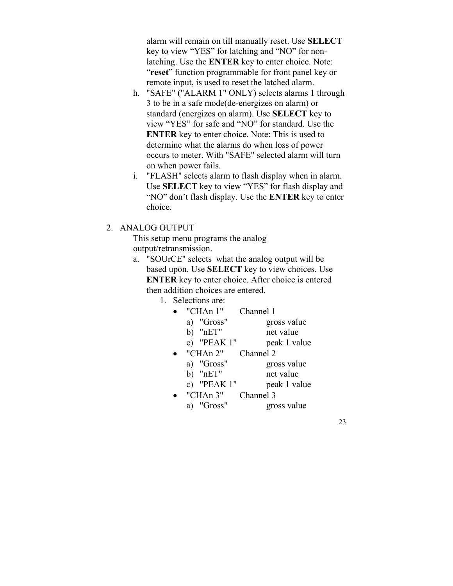alarm will remain on till manually reset. Use **SELECT**  key to view "YES" for latching and "NO" for nonlatching. Use the **ENTER** key to enter choice. Note: "**reset**" function programmable for front panel key or remote input, is used to reset the latched alarm.

- h. "SAFE" ("ALARM 1" ONLY) selects alarms 1 through 3 to be in a safe mode(de-energizes on alarm) or standard (energizes on alarm). Use **SELECT** key to view "YES" for safe and "NO" for standard. Use the **ENTER** key to enter choice. Note: This is used to determine what the alarms do when loss of power occurs to meter. With "SAFE" selected alarm will turn on when power fails.
- i. "FLASH" selects alarm to flash display when in alarm. Use **SELECT** key to view "YES" for flash display and "NO" don't flash display. Use the **ENTER** key to enter choice.

#### 2. ANALOG OUTPUT

This setup menu programs the analog output/retransmission.

- a. "SOUrCE" selects what the analog output will be based upon. Use **SELECT** key to view choices. Use **ENTER** key to enter choice. After choice is entered then addition choices are entered.
	- 1. Selections are:

| "CHAn 1"   | Channel 1   |
|------------|-------------|
| a) "Gross" | gross value |

| b) $"nET"$ | net value |
|------------|-----------|

- c) "PEAK 1" peak 1 value
- "CHAn 2" Channel 2
	- a) "Gross" gross value
	- b) "nET" net value
	- c) "PEAK 1" peak 1 value
- "CHAn 3" Channel 3 a) "Gross" gross value
- 23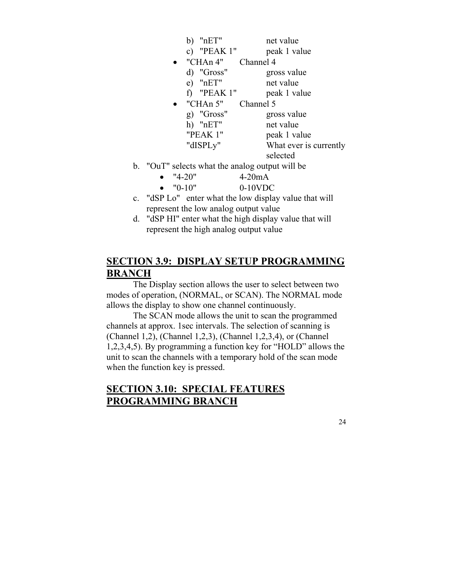|                |          | b) $"nET"$     | net value                                    |  |
|----------------|----------|----------------|----------------------------------------------|--|
|                |          | c) "PEAK $1$ " | peak 1 value                                 |  |
|                |          | "CHAn 4"       | Channel 4                                    |  |
|                |          | d) "Gross"     | gross value                                  |  |
|                |          | $e)$ "nET"     | net value                                    |  |
|                |          | f) "PEAK $1$ " | peak 1 value                                 |  |
|                |          | "CHAn 5"       | Channel 5                                    |  |
|                |          | $g)$ "Gross"   | gross value                                  |  |
|                |          | h) " $nET$ "   | net value                                    |  |
|                |          | "PEAK 1"       | peak 1 value                                 |  |
|                |          | "dISPLy"       | What ever is currently                       |  |
|                |          |                | selected                                     |  |
| $\mathbf{b}$ . |          |                | "OuT" selects what the analog output will be |  |
|                | $"4-20"$ |                | $4-20mA$                                     |  |
|                | $"0-10"$ |                | $0-10$ VDC                                   |  |

- c. "dSP Lo" enter what the low display value that will represent the low analog output value
- d. "dSP HI" enter what the high display value that will represent the high analog output value

## **SECTION 3.9: DISPLAY SETUP PROGRAMMING BRANCH**

The Display section allows the user to select between two modes of operation, (NORMAL, or SCAN). The NORMAL mode allows the display to show one channel continuously.

The SCAN mode allows the unit to scan the programmed channels at approx. 1sec intervals. The selection of scanning is (Channel 1,2), (Channel 1,2,3), (Channel 1,2,3,4), or (Channel 1,2,3,4,5). By programming a function key for "HOLD" allows the unit to scan the channels with a temporary hold of the scan mode when the function key is pressed.

# **SECTION 3.10: SPECIAL FEATURES PROGRAMMING BRANCH**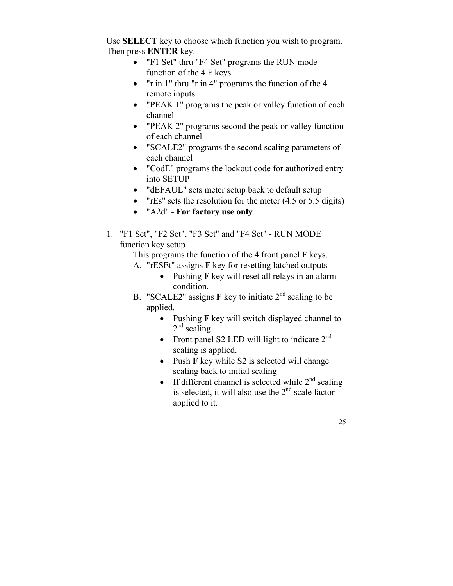Use **SELECT** key to choose which function you wish to program. Then press **ENTER** key.

- "F1 Set" thru "F4 Set" programs the RUN mode function of the 4 F keys
- "r in 1" thru "r in 4" programs the function of the 4 remote inputs
- "PEAK 1" programs the peak or valley function of each channel
- "PEAK 2" programs second the peak or valley function of each channel
- "SCALE2" programs the second scaling parameters of each channel
- "CodE" programs the lockout code for authorized entry into SETUP
- "dEFAUL" sets meter setup back to default setup
- "rEs" sets the resolution for the meter (4.5 or 5.5 digits)
- "A2d" **For factory use only**
- 1. "F1 Set", "F2 Set", "F3 Set" and "F4 Set" RUN MODE function key setup

This programs the function of the 4 front panel F keys. A. "rESEt" assigns **F** key for resetting latched outputs

- Pushing **F** key will reset all relays in an alarm condition.
- B. "SCALE2" assigns  $\bf{F}$  key to initiate  $2<sup>nd</sup>$  scaling to be applied.
	- Pushing **F** key will switch displayed channel to  $2<sup>nd</sup>$  scaling.
	- Front panel S2 LED will light to indicate  $2<sup>nd</sup>$ scaling is applied.
	- Push **F** key while S2 is selected will change scaling back to initial scaling
	- If different channel is selected while  $2<sup>nd</sup>$  scaling is selected, it will also use the  $2<sup>nd</sup>$  scale factor applied to it.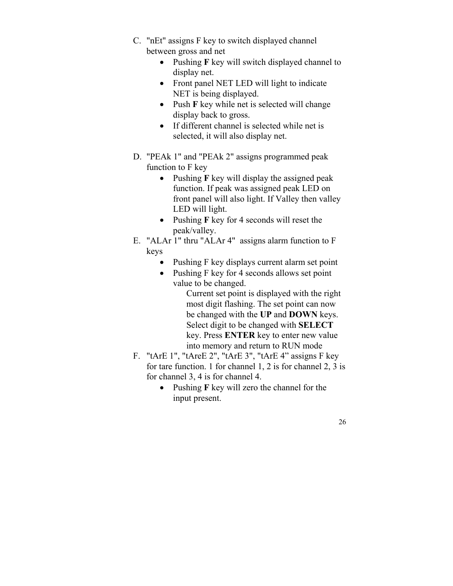- C. "nEt" assigns F key to switch displayed channel between gross and net
	- Pushing **F** key will switch displayed channel to display net.
	- Front panel NET LED will light to indicate NET is being displayed.
	- Push **F** key while net is selected will change display back to gross.
	- If different channel is selected while net is selected, it will also display net.
- D. "PEAk 1" and "PEAk 2" assigns programmed peak function to F key
	- Pushing **F** key will display the assigned peak function. If peak was assigned peak LED on front panel will also light. If Valley then valley LED will light.
	- Pushing **F** key for 4 seconds will reset the peak/valley.
- E. "ALAr 1" thru "ALAr 4" assigns alarm function to F keys
	- Pushing F key displays current alarm set point
	- Pushing F key for 4 seconds allows set point value to be changed.

Current set point is displayed with the right most digit flashing. The set point can now be changed with the **UP** and **DOWN** keys. Select digit to be changed with **SELECT** key. Press **ENTER** key to enter new value into memory and return to RUN mode

- F. "tArE 1", "tAreE 2", "tArE 3", "tArE 4" assigns F key for tare function. 1 for channel 1, 2 is for channel 2, 3 is for channel 3, 4 is for channel 4.
	- Pushing **F** key will zero the channel for the input present.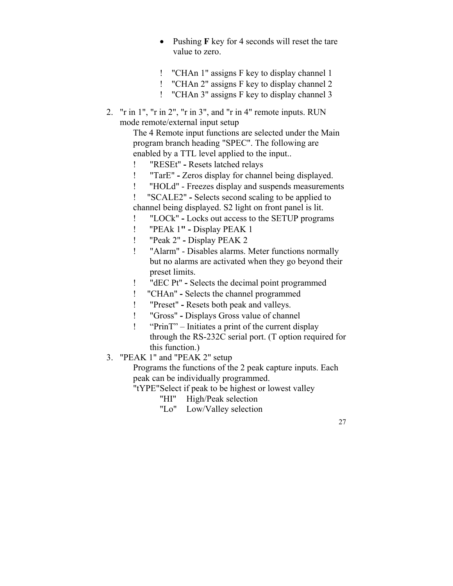- Pushing **F** key for 4 seconds will reset the tare value to zero.
- ! "CHAn 1" assigns F key to display channel 1
- ! "CHAn 2" assigns F key to display channel 2
- ! "CHAn 3" assigns F key to display channel 3
- 2. "r in 1", "r in 2", "r in 3", and "r in 4" remote inputs. RUN mode remote/external input setup

The 4 Remote input functions are selected under the Main program branch heading "SPEC". The following are enabled by a TTL level applied to the input..

! "RESEt" **-** Resets latched relays

- ! "TarE"Zeros display for channel being displayed.
- ! "HOLd" Freezes display and suspends measurements
- ! "SCALE2"Selects second scaling to be applied to channel being displayed. S2 light on front panel is lit.
- ! "LOCk"Locks out access to the SETUP programs
- ! "PEAk 1**"** Display PEAK 1
- ! "Peak 2"Display PEAK 2
- ! "Alarm" Disables alarms. Meter functions normally but no alarms are activated when they go beyond their preset limits.
- ! "dEC Pt"Selects the decimal point programmed
- ! "CHAn"Selects the channel programmed
- ! "Preset"Resets both peak and valleys.
- ! "Gross"Displays Gross value of channel
- ! "PrinT" Initiates a print of the current display through the RS-232C serial port. (T option required for this function.)
- 3. "PEAK 1" and "PEAK 2" setup

Programs the functions of the 2 peak capture inputs. Each peak can be individually programmed.

"tYPE" Select if peak to be highest or lowest valley

- "HI" High/Peak selection
- "Lo" Low/Valley selection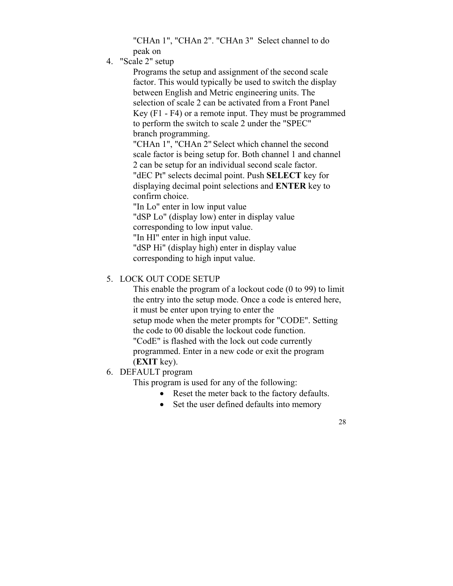"CHAn 1", "CHAn 2". "CHAn 3" Select channel to do peak on

4. "Scale 2" setup

Programs the setup and assignment of the second scale factor. This would typically be used to switch the display between English and Metric engineering units. The selection of scale 2 can be activated from a Front Panel Key (F1 - F4) or a remote input. They must be programmed to perform the switch to scale 2 under the "SPEC" branch programming.

"CHAn 1", "CHAn 2" Select which channel the second scale factor is being setup for. Both channel 1 and channel 2 can be setup for an individual second scale factor. "dEC Pt" selects decimal point. Push **SELECT** key for displaying decimal point selections and **ENTER** key to confirm choice.

"In Lo" enter in low input value

"dSP Lo" (display low) enter in display value

corresponding to low input value.

"In HI" enter in high input value.

"dSP Hi" (display high) enter in display value corresponding to high input value.

#### 5. LOCK OUT CODE SETUP

This enable the program of a lockout code (0 to 99) to limit the entry into the setup mode. Once a code is entered here, it must be enter upon trying to enter the setup mode when the meter prompts for "CODE". Setting the code to 00 disable the lockout code function. "CodE" is flashed with the lock out code currently programmed. Enter in a new code or exit the program (**EXIT** key).

#### 6. DEFAULT program

This program is used for any of the following:

- Reset the meter back to the factory defaults.
- Set the user defined defaults into memory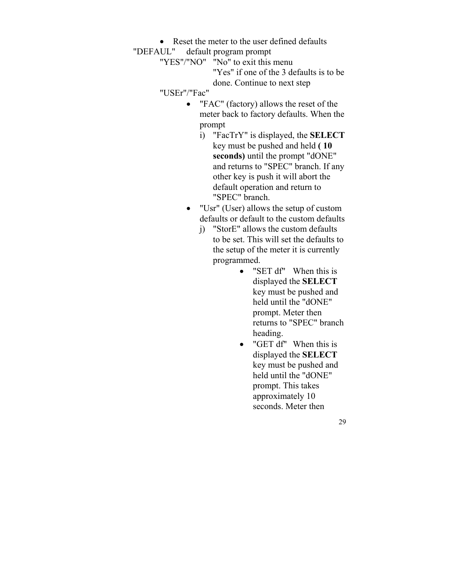- Reset the meter to the user defined defaults "DEFAUL" default program prompt
	- "YES"/"NO" "No" to exit this menu
		- "Yes" if one of the 3 defaults is to be done. Continue to next step
	- "USEr"/"Fac"
		- "FAC" (factory) allows the reset of the meter back to factory defaults. When the prompt
			- i) "FacTrY" is displayed, the **SELECT** key must be pushed and held **( 10 seconds)** until the prompt "dONE" and returns to "SPEC" branch. If any other key is push it will abort the default operation and return to "SPEC" branch.
		- "Usr" (User) allows the setup of custom defaults or default to the custom defaults
			- j) "StorE" allows the custom defaults to be set. This will set the defaults to the setup of the meter it is currently programmed.
				- "SET df" When this is displayed the **SELECT** key must be pushed and held until the "dONE" prompt. Meter then returns to "SPEC" branch heading.
				- "GET df" When this is displayed the **SELECT** key must be pushed and held until the "dONE" prompt. This takes approximately 10 seconds. Meter then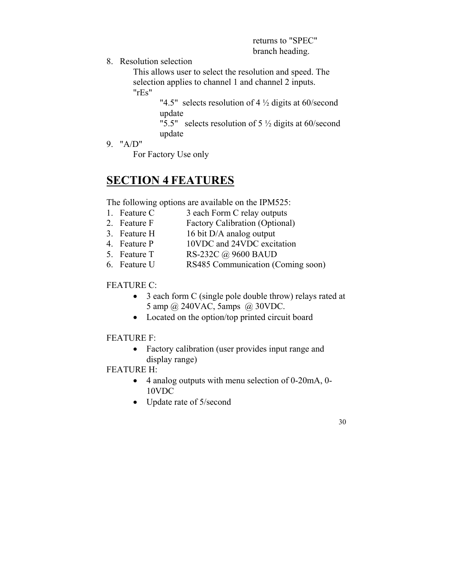returns to "SPEC" branch heading.

8. Resolution selection

This allows user to select the resolution and speed. The selection applies to channel 1 and channel 2 inputs. "rEs"

> "4.5" selects resolution of  $4\frac{1}{2}$  digits at 60/second update

"5.5" selects resolution of  $5\frac{1}{2}$  digits at 60/second update

9. "A/D"

For Factory Use only

# **SECTION 4 FEATURES**

The following options are available on the IPM525:

- 1. Feature C 3 each Form C relay outputs
- 2. Feature F Factory Calibration (Optional)
- 3. Feature H 16 bit D/A analog output
- 4. Feature P 10VDC and 24VDC excitation
- 5. Feature T RS-232C @ 9600 BAUD
- 6. Feature U RS485 Communication (Coming soon)

#### FEATURE C:

- 3 each form C (single pole double throw) relays rated at 5 amp @ 240VAC, 5amps @ 30VDC.
- Located on the option/top printed circuit board

#### FEATURE F:

• Factory calibration (user provides input range and display range)

#### FEATURE H:

- 4 analog outputs with menu selection of 0-20mA, 0- 10VDC
- Update rate of 5/second

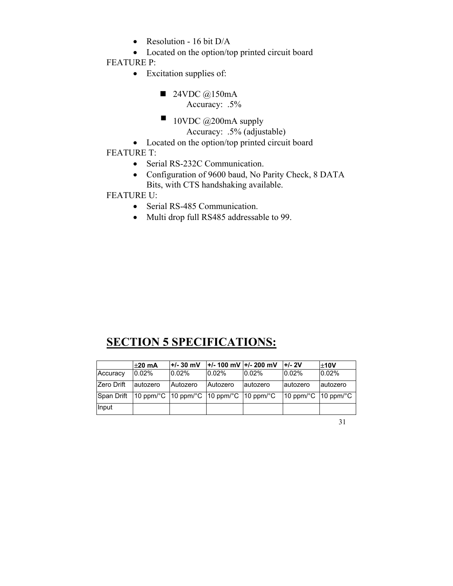- Resolution 16 bit D/A
- Located on the option/top printed circuit board

FEATURE P:

- Excitation supplies of:
	- $\blacksquare$  24VDC @150mA Accuracy: .5%
	- $\blacksquare$  10VDC @200mA supply Accuracy: .5% (adjustable)
- Located on the option/top printed circuit board

### FEATURE T:

- Serial RS-232C Communication.
- Configuration of 9600 baud, No Parity Check, 8 DATA Bits, with CTS handshaking available.

#### FEATURE U:

- Serial RS-485 Communication.
- Multi drop full RS485 addressable to 99.

# **SECTION 5 SPECIFICATIONS:**

|                   | $±20$ mA  | $+/- 30$ mV                                | $+/- 100$ mV $+/- 200$ mV |           | <b>+/-2V</b>                                | ±10V     |
|-------------------|-----------|--------------------------------------------|---------------------------|-----------|---------------------------------------------|----------|
| Accuracy          | 0.02%     | 0.02%                                      | 0.02%                     | $0.02\%$  | 0.02%                                       | 0.02%    |
| <b>Zero Drift</b> | lautozero | Autozero                                   | Autozero                  | lautozero | autozero                                    | autozero |
| Span Drift        |           | 10 ppm/°C  10 ppm/°C  10 ppm/°C  10 ppm/°C |                           |           | $10$ ppm/ $\degree$ C $10$ ppm/ $\degree$ C |          |
| Input             |           |                                            |                           |           |                                             |          |